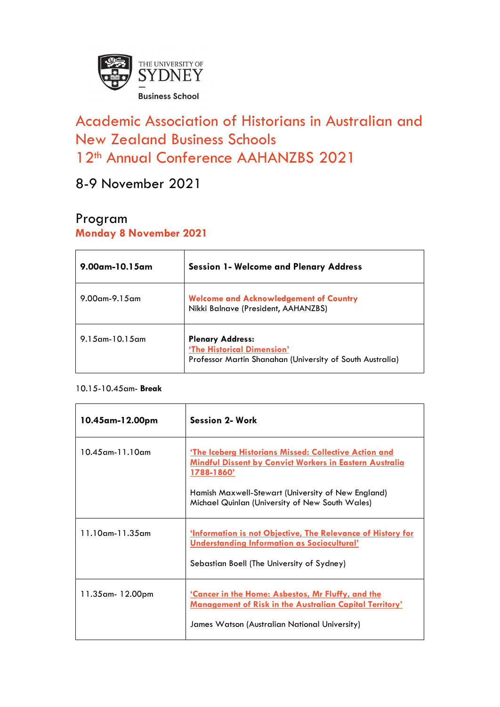

# Academic Association of Historians in Australian and New Zealand Business Schools 12<sup>th</sup> Annual Conference AAHANZBS 2021

8-9 November 2021

# Program

### **Monday 8 November 2021**

| $9.00$ am-10.15am    | <b>Session 1- Welcome and Plenary Address</b>                                                                      |
|----------------------|--------------------------------------------------------------------------------------------------------------------|
| $9.00$ am- $9.15$ am | <b>Welcome and Acknowledgement of Country</b><br>Nikki Balnave (President, AAHANZBS)                               |
| $9.15$ am-10.15am    | <b>Plenary Address:</b><br>'The Historical Dimension'<br>Professor Martin Shanahan (University of South Australia) |

#### 10.15-10.45am- **Break**

| 10.45am-12.00pm        | Session 2- Work                                                                                                                                                       |
|------------------------|-----------------------------------------------------------------------------------------------------------------------------------------------------------------------|
| $10.45$ am- $11.10$ am | <u>'The Iceberg Historians Missed: Collective Action and</u><br><u>Mindful Dissent by Convict Workers in Eastern Australia</u><br><u>1788-1860'</u>                   |
|                        | Hamish Maxwell-Stewart (University of New England)<br>Michael Quinlan (University of New South Wales)                                                                 |
| $11.10$ am- $11.35$ am | <b>Information is not Objective, The Relevance of History for</b><br><b>Understanding Information as Sociocultural'</b><br>Sebastian Boell (The University of Sydney) |
|                        |                                                                                                                                                                       |
| 11.35am-12.00pm        | <u>'Cancer in the Home: Asbestos, Mr Fluffy, and the </u><br><b>Management of Risk in the Australian Capital Territory'</b>                                           |
|                        | James Watson (Australian National University)                                                                                                                         |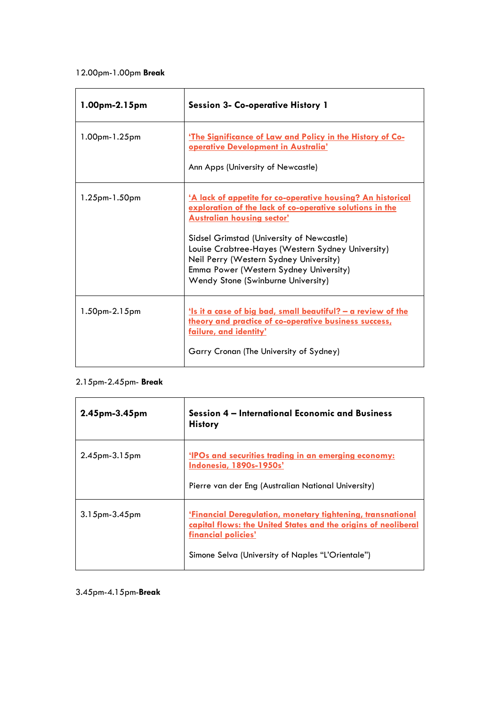#### 12.00pm-1.00pm **Break**

| 1.00pm-2.15pm | <b>Session 3- Co-operative History 1</b>                                                                                                                                                                                                                                                                                                                                                        |
|---------------|-------------------------------------------------------------------------------------------------------------------------------------------------------------------------------------------------------------------------------------------------------------------------------------------------------------------------------------------------------------------------------------------------|
| 1.00pm-1.25pm | 'The Significance of Law and Policy in the History of Co-<br>operative Development in Australia'<br>Ann Apps (University of Newcastle)                                                                                                                                                                                                                                                          |
| 1.25pm-1.50pm | <u>'A lack of appetite for co-operative housing? An historical</u><br>exploration of the lack of co-operative solutions in the<br><b>Australian housing sector'</b><br>Sidsel Grimstad (University of Newcastle)<br>Louise Crabtree-Hayes (Western Sydney University)<br>Neil Perry (Western Sydney University)<br>Emma Power (Western Sydney University)<br>Wendy Stone (Swinburne University) |
| 1.50pm-2.15pm | <u>'Is it a case of big bad, small beautiful? – a review of the </u><br>theory and practice of co-operative business success,<br>failure, and identity'<br>Garry Cronan (The University of Sydney)                                                                                                                                                                                              |

#### 2.15pm-2.45pm- **Break**

| $2.45$ pm- $3.45$ pm | Session 4 – International Economic and Business<br><b>History</b>                                                                                                                                                |
|----------------------|------------------------------------------------------------------------------------------------------------------------------------------------------------------------------------------------------------------|
| $2.45$ pm- $3.15$ pm | 'IPOs and securities trading in an emerging economy:<br><b>Indonesia, 1890s-1950s'</b><br>Pierre van der Eng (Australian National University)                                                                    |
| $3.15$ pm- $3.45$ pm | <u>'Financial Deregulation, monetary tightening, transnational</u><br>capital flows: the United States and the origins of neoliberal<br>financial policies'<br>Simone Selva (University of Naples "L'Orientale") |

#### 3.45pm-4.15pm-**Break**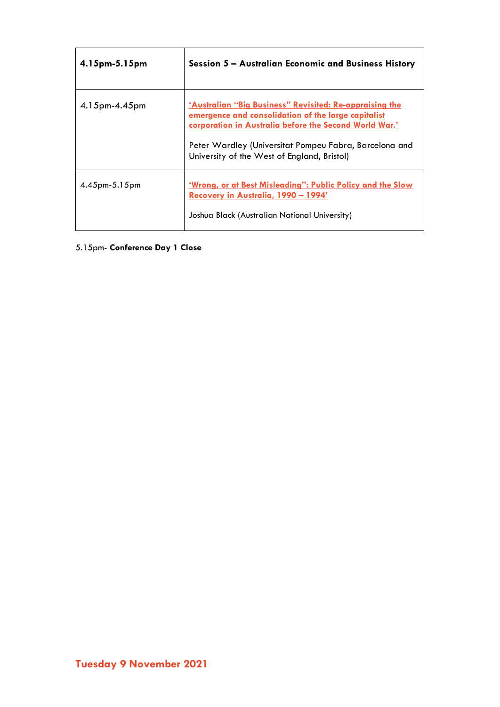| $4.15$ pm- $5.15$ pm | Session 5 – Australian Economic and Business History                                                                                                                                                                                                                                     |
|----------------------|------------------------------------------------------------------------------------------------------------------------------------------------------------------------------------------------------------------------------------------------------------------------------------------|
| $4.15$ pm- $4.45$ pm | <u>'Australian "Big Business" Revisited: Re-appraising the</u><br>emergence and consolidation of the large capitalist<br>corporation in Australia before the Second World War.'<br>Peter Wardley (Universitat Pompeu Fabra, Barcelona and<br>University of the West of England, Bristol) |
| $4.45$ pm- $5.15$ pm | <u>'Wrong, or at Best Misleading": Public Policy and the Slow</u><br>Recovery in Australia, 1990 - 1994'<br>Joshua Black (Australian National University)                                                                                                                                |

## 5.15pm- **Conference Day 1 Close**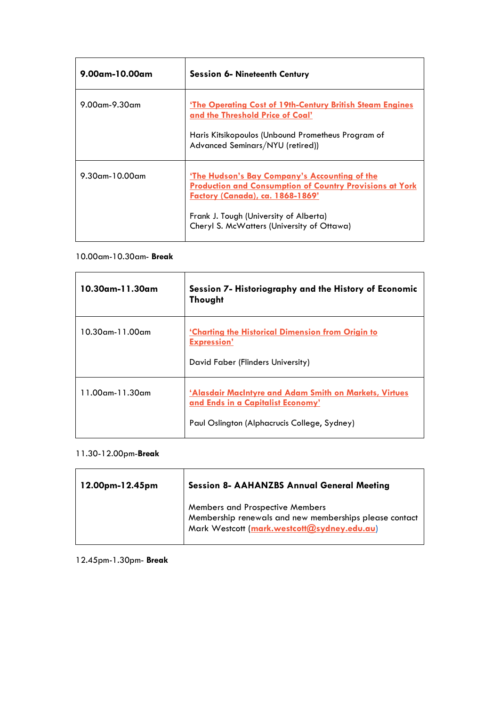| $9.00$ am-10.00am    | <b>Session 6- Nineteenth Century</b>                                                                                                                                                                                                         |
|----------------------|----------------------------------------------------------------------------------------------------------------------------------------------------------------------------------------------------------------------------------------------|
| $9.00$ am- $9.30$ am | <b>'The Operating Cost of 19th-Century British Steam Engines</b><br>and the Threshold Price of Coal'<br>Haris Kitsikopoulos (Unbound Prometheus Program of<br>Advanced Seminars/NYU (retired))                                               |
| $9.30$ am-10.00am    | 'The Hudson's Bay Company's Accounting of the<br><b>Production and Consumption of Country Provisions at York</b><br>Factory (Canada), ca. 1868-1869'<br>Frank J. Tough (University of Alberta)<br>Cheryl S. McWatters (University of Ottawa) |

#### 10.00am-10.30am- **Break**

| 10.30am-11.30am        | Session 7- Historiography and the History of Economic<br><b>Thought</b>                                                                     |
|------------------------|---------------------------------------------------------------------------------------------------------------------------------------------|
| $10.30$ am-11.00am     | <u>'Charting the Historical Dimension from Origin to</u><br><b>Expression'</b><br>David Faber (Flinders University)                         |
| $11.00$ am- $11.30$ am | 'Alasdair MacIntyre and Adam Smith on Markets, Virtues<br>and Ends in a Capitalist Economy'<br>Paul Oslington (Alphacrucis College, Sydney) |

#### 11.30-12.00pm-**Break**

| 12.00pm-12.45pm | <b>Session 8- AAHANZBS Annual General Meeting</b>                                                                                               |
|-----------------|-------------------------------------------------------------------------------------------------------------------------------------------------|
|                 | <b>Members and Prospective Members</b><br>Membership renewals and new memberships please contact<br>Mark Westcott (mark.westcott@sydney.edu.au) |

12.45pm-1.30pm- **Break**